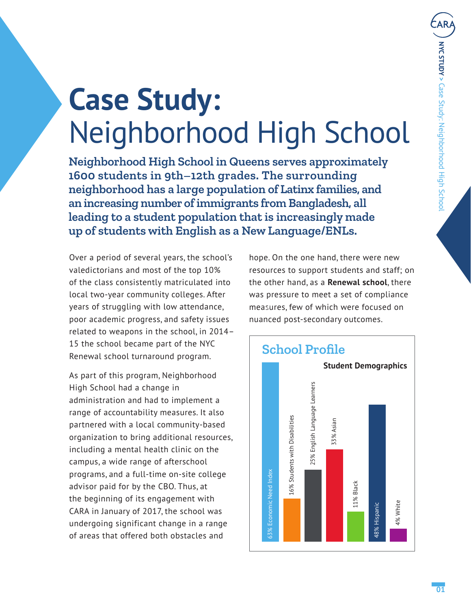# **Case Study:**  Neighborhood High School

**Neighborhood High School in Queens serves approximately 1600 students in 9th–12th grades. The surrounding neighborhood has a large population of Latinx families, and an increasing number of immigrants from Bangladesh, all leading to a student population that is increasingly made up of students with English as a New Language/ENLs.** 

Over a period of several years, the school's valedictorians and most of the top 10% of the class consistently matriculated into local two-year community colleges. After years of struggling with low attendance, poor academic progress, and safety issues related to weapons in the school, in 2014– 15 the school became part of the NYC Renewal school turnaround program.

As part of this program, Neighborhood High School had a change in administration and had to implement a range of accountability measures. It also partnered with a local community-based organization to bring additional resources, including a mental health clinic on the campus, a wide range of afterschool programs, and a full-time on-site college advisor paid for by the CBO. Thus, at the beginning of its engagement with CARA in January of 2017, the school was undergoing significant change in a range of areas that offered both obstacles and

hope. On the one hand, there were new resources to support students and staff; on the other hand, as a **[Renewal school](https://chalkbeat.org/posts/ny/2019/02/26/de-blasio-renewal-school-turnaround/)**, there was pressure to meet a set of compliance measures, few of which were focused on<br>——————————————————— nuanced post-secondary outcomes.

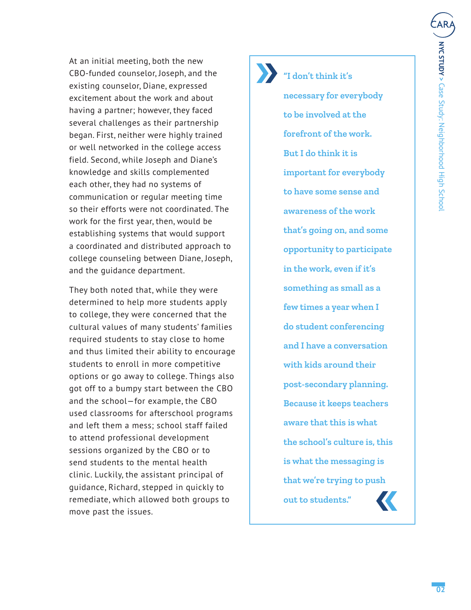At an initial meeting, both the new CBO-funded counselor, Joseph, and the existing counselor, Diane, expressed excitement about the work and about having a partner; however, they faced several challenges as their partnership began. First, neither were highly trained or well networked in the college access field. Second, while Joseph and Diane's knowledge and skills complemented each other, they had no systems of communication or regular meeting time so their efforts were not coordinated. The work for the first year, then, would be establishing systems that would support a coordinated and distributed approach to college counseling between Diane, Joseph, and the guidance department.

They both noted that, while they were determined to help more students apply to college, they were concerned that the cultural values of many students' families required students to stay close to home and thus limited their ability to encourage students to enroll in more competitive options or go away to college. Things also got off to a bumpy start between the CBO and the school—for example, the CBO used classrooms for afterschool programs and left them a mess; school staff failed to attend professional development sessions organized by the CBO or to send students to the mental health clinic. Luckily, the assistant principal of guidance, Richard, stepped in quickly to remediate, which allowed both groups to move past the issues.

**"I don't think it's necessary for everybody to be involved at the forefront of the work. But I do think it is important for everybody to have some sense and awareness of the work that's going on, and some opportunity to participate in the work, even if it's something as small as a few times a year when I do student conferencing and I have a conversation with kids around their post-secondary planning. Because it keeps teachers aware that this is what the school's culture is, this is what the messaging is that we're trying to push out to students."**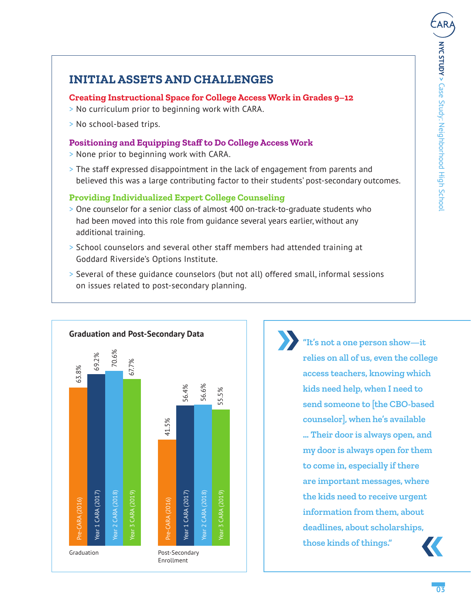# **INITIAL ASSETS AND CHALLENGES**

## **Creating Instructional Space for College Access Work in Grades 9–12**

- > No curriculum prior to beginning work with CARA.
- > No school-based trips.

## Positioning and Equipping Staff to Do College Access Work

- > None prior to beginning work with CARA.
- > The staff expressed disappointment in the lack of engagement from parents and believed this was a large contributing factor to their students' post-secondary outcomes.

## **Providing Individualized Expert College Counseling**

- > One counselor for a senior class of almost 400 on-track-to-graduate students who had been moved into this role from guidance several years earlier, without any additional training.
- > School counselors and several other staff members had attended training at Goddard Riverside's Options Institute.
- > Several of these guidance counselors (but not all) offered small, informal sessions on issues related to post-secondary planning.



**"It's not a one person show—it relies on all of us, even the college access teachers, knowing which kids need help, when I need to send someone to [the CBO-based counselor], when he's available … Their door is always open, and my door is always open for them to come in, especially if there are important messages, where the kids need to receive urgent information from them, about deadlines, about scholarships, those kinds of things."**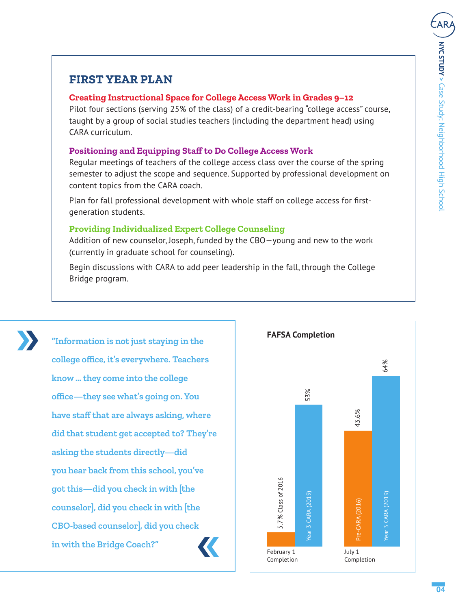## **FIRST YEAR PLAN**

## **Creating Instructional Space for College Access Work in Grades 9–12**

Pilot four sections (serving 25% of the class) of a credit-bearing "college access" course, taught by a group of social studies teachers (including the department head) using CARA curriculum.

## Positioning and Equipping Staff to Do College Access Work

Regular meetings of teachers of the college access class over the course of the spring semester to adjust the scope and sequence. Supported by professional development on content topics from the CARA coach.

Plan for fall professional development with whole staff on college access for firstgeneration students.

## **Providing Individualized Expert College Counseling**

Addition of new counselor, Joseph, funded by the CBO—young and new to the work (currently in graduate school for counseling).

Begin discussions with CARA to add peer leadership in the fall, through the College Bridge program.



**"Information is not just staying in the**   $\frac{1}{2}$  college office, it's everywhere. Teachers **know … they come into the college**   $\text{office}\text{---}$  they see what's going on. You have staff that are always asking, where **did that student get accepted to? They're asking the students directly—did you hear back from this school, you've got this—did you check in with [the counselor], did you check in with [the CBO-based counselor], did you check in with the Bridge Coach?"**

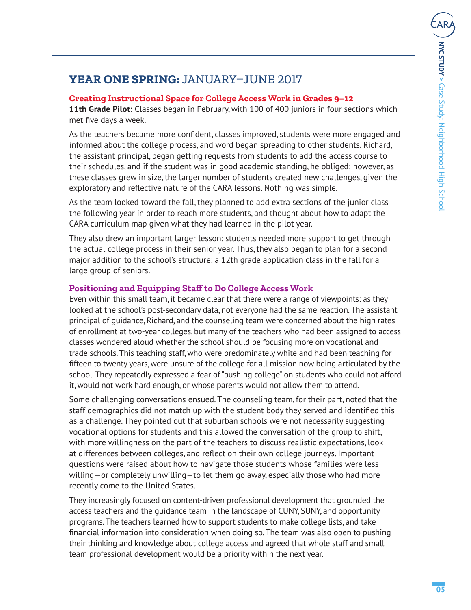## **YEAR ONE SPRING: JANUARY-JUNE 2017**

## Creating Instructional Space for College Access Work in Grades 9-12

11th Grade Pilot: Classes began in February, with 100 of 400 juniors in four sections which met five days a week.

As the teachers became more confident, classes improved, students were more engaged and informed about the college process, and word began spreading to other students. Richard, the assistant principal, began getting reguests from students to add the access course to their schedules, and if the student was in good academic standing, he obliged; however, as these classes grew in size, the larger number of students created new challenges, given the exploratory and reflective nature of the CARA lessons. Nothing was simple.

As the team looked toward the fall, they planned to add extra sections of the junior class the following year in order to reach more students, and thought about how to adapt the CARA curriculum map given what they had learned in the pilot year.

They also drew an important larger lesson: students needed more support to get through the actual college process in their senior year. Thus, they also began to plan for a second major addition to the school's structure: a 12th grade application class in the fall for a large group of seniors.

## **Positioning and Equipping Staff to Do College Access Work**

Even within this small team, it became clear that there were a range of viewpoints: as they looked at the school's post-secondary data, not everyone had the same reaction. The assistant principal of quidance, Richard, and the counseling team were concerned about the high rates of enrollment at two-year colleges, but many of the teachers who had been assigned to access classes wondered aloud whether the school should be focusing more on vocational and trade schools. This teaching staff, who were predominately white and had been teaching for fifteen to twenty years, were unsure of the college for all mission now being articulated by the school. They repeatedly expressed a fear of "pushing college" on students who could not afford it, would not work hard enough, or whose parents would not allow them to attend.

Some challenging conversations ensued. The counseling team, for their part, noted that the staff demographics did not match up with the student body they served and identified this as a challenge. They pointed out that suburban schools were not necessarily suggesting vocational options for students and this allowed the conversation of the group to shift, with more willingness on the part of the teachers to discuss realistic expectations, look at differences between colleges, and reflect on their own college journeys. Important questions were raised about how to navigate those students whose families were less willing – or completely unwilling – to let them go away, especially those who had more recently come to the United States.

They increasingly focused on content-driven professional development that grounded the access teachers and the quidance team in the landscape of CUNY, SUNY, and opportunity programs. The teachers learned how to support students to make college lists, and take financial information into consideration when doing so. The team was also open to pushing their thinking and knowledge about college access and agreed that whole staff and small team professional development would be a priority within the next year.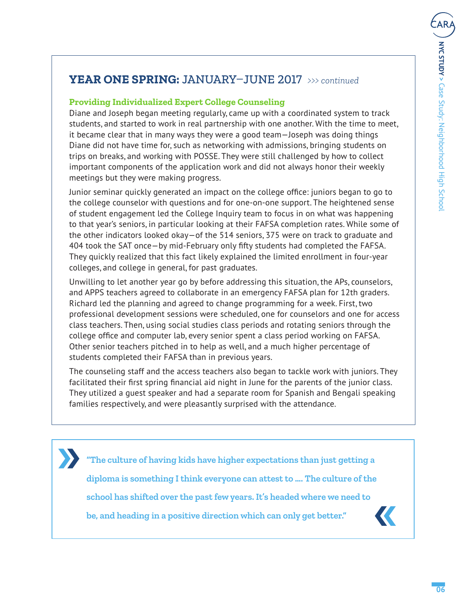## **YEAR ONE SPRING: JANUARY-JUNE 2017 >>> continued**

#### **Providing Individualized Expert College Counseling**

Diane and Joseph began meeting regularly, came up with a coordinated system to track students, and started to work in real partnership with one another. With the time to meet, it became clear that in many ways they were a good team—Joseph was doing things Diane did not have time for, such as networking with admissions, bringing students on trips on breaks, and working with POSSE. They were still challenged by how to collect important components of the application work and did not always honor their weekly meetings but they were making progress.

Junior seminar quickly generated an impact on the college office: juniors began to go to the college counselor with questions and for one-on-one support. The heightened sense of student engagement led the College Inquiry team to focus in on what was happening to that year's seniors, in particular looking at their FAFSA completion rates. While some of the other indicators looked okay—of the 514 seniors, 375 were on track to graduate and 404 took the SAT once-by mid-February only fifty students had completed the FAFSA. They quickly realized that this fact likely explained the limited enrollment in four-year colleges, and college in general, for past graduates.

Unwilling to let another year go by before addressing this situation, the APs, counselors, and APPS teachers agreed to collaborate in an emergency FAFSA plan for 12th graders. Richard led the planning and agreed to change programming for a week. First, two professional development sessions were scheduled, one for counselors and one for access class teachers. Then, using social studies class periods and rotating seniors through the college office and computer lab, every senior spent a class period working on FAFSA. Other senior teachers pitched in to help as well, and a much higher percentage of students completed their FAFSA than in previous years.

The counseling staff and the access teachers also began to tackle work with juniors. They facilitated their first spring financial aid night in June for the parents of the junior class. They utilized a guest speaker and had a separate room for Spanish and Bengali speaking families respectively, and were pleasantly surprised with the attendance.

**"The culture of having kids have higher expectations than just getting a diploma is something I think everyone can attest to …. The culture of the school has shifted over the past few years. It's headed where we need to be, and heading in a positive direction which can only get better."**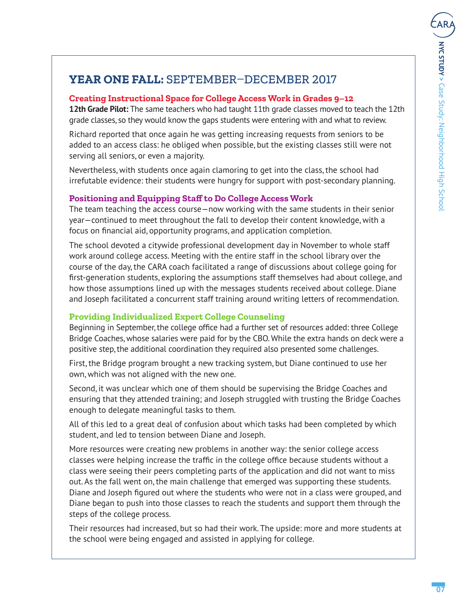# **YEAR ONE FALL:** SEPTEMBER-DECEMBER 2017

## **Creating Instructional Space for College Access Work in Grades 9–12**

**12th Grade Pilot:** The same teachers who had taught 11th grade classes moved to teach the 12th grade classes, so they would know the gaps students were entering with and what to review.

Richard reported that once again he was getting increasing requests from seniors to be added to an access class: he obliged when possible, but the existing classes still were not serving all seniors, or even a majority.

Nevertheless, with students once again clamoring to get into the class, the school had irrefutable evidence: their students were hungry for support with post-secondary planning.

## Positioning and Equipping Staff to Do College Access Work

The team teaching the access course—now working with the same students in their senior year—continued to meet throughout the fall to develop their content knowledge, with a focus on financial aid, opportunity programs, and application completion.

The school devoted a citywide professional development day in November to whole staff work around college access. Meeting with the entire staff in the school library over the course of the day, the CARA coach facilitated a range of discussions about college going for first-generation students, exploring the assumptions staff themselves had about college, and how those assumptions lined up with the messages students received about college. Diane and Joseph facilitated a concurrent staff training around writing letters of recommendation.

## **Providing Individualized Expert College Counseling**

Beginning in September, the college office had a further set of resources added: three College Bridge Coaches, whose salaries were paid for by the CBO. While the extra hands on deck were a positive step, the additional coordination they required also presented some challenges.

First, the Bridge program brought a new tracking system, but Diane continued to use her own, which was not aligned with the new one.

Second, it was unclear which one of them should be supervising the Bridge Coaches and ensuring that they attended training; and Joseph struggled with trusting the Bridge Coaches enough to delegate meaningful tasks to them.

All of this led to a great deal of confusion about which tasks had been completed by which student, and led to tension between Diane and Joseph.

More resources were creating new problems in another way: the senior college access classes were helping increase the traffic in the college office because students without a class were seeing their peers completing parts of the application and did not want to miss out. As the fall went on, the main challenge that emerged was supporting these students. Diane and Joseph figured out where the students who were not in a class were grouped, and Diane began to push into those classes to reach the students and support them through the steps of the college process.

Their resources had increased, but so had their work. The upside: more and more students at the school were being engaged and assisted in applying for college.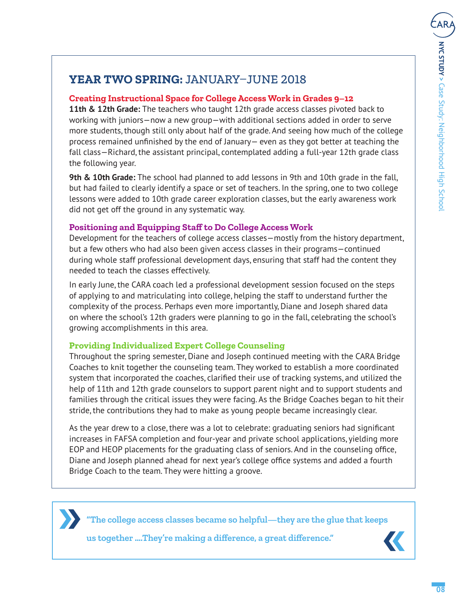## **YEAR TWO SPRING:** JANUARY-JUNE 2018

## **Creating Instructional Space for College Access Work in Grades 9–12**

**11th & 12th Grade:** The teachers who taught 12th grade access classes pivoted back to working with juniors—now a new group—with additional sections added in order to serve more students, though still only about half of the grade. And seeing how much of the college process remained unfinished by the end of January-even as they got better at teaching the fall class—Richard, the assistant principal, contemplated adding a full-year 12th grade class the following year.

**9th & 10th Grade:** The school had planned to add lessons in 9th and 10th grade in the fall, but had failed to clearly identify a space or set of teachers. In the spring, one to two college lessons were added to 10th grade career exploration classes, but the early awareness work did not get off the ground in any systematic way.

## Positioning and Equipping Staff to Do College Access Work

Development for the teachers of college access classes—mostly from the history department, but a few others who had also been given access classes in their programs—continued during whole staff professional development days, ensuring that staff had the content they needed to teach the classes effectively.

In early June, the CARA coach led a professional development session focused on the steps of applying to and matriculating into college, helping the staff to understand further the complexity of the process. Perhaps even more importantly, Diane and Joseph shared data on where the school's 12th graders were planning to go in the fall, celebrating the school's growing accomplishments in this area.

## **Providing Individualized Expert College Counseling**

Throughout the spring semester, Diane and Joseph continued meeting with the CARA Bridge Coaches to knit together the counseling team. They worked to establish a more coordinated system that incorporated the coaches, clarified their use of tracking systems, and utilized the help of 11th and 12th grade counselors to support parent night and to support students and families through the critical issues they were facing. As the Bridge Coaches began to hit their stride, the contributions they had to make as young people became increasingly clear.

As the year drew to a close, there was a lot to celebrate: graduating seniors had significant increases in FAFSA completion and four-year and private school applications, yielding more EOP and HEOP placements for the graduating class of seniors. And in the counseling office, Diane and Joseph planned ahead for next year's college office systems and added a fourth Bridge Coach to the team. They were hitting a groove.

**"The college access classes became so helpful—they are the glue that keeps** 

 $\bf{u}$ s together ....They're making a difference, a great difference."

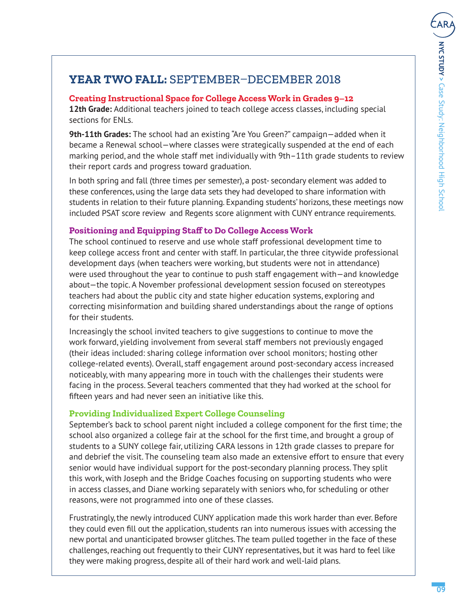# **YEAR TWO FALL: SEPTEMBER-DECEMBER 2018**

## **Creating Instructional Space for College Access Work in Grades 9–12**

**12th Grade:** Additional teachers joined to teach college access classes, including special sections for ENLs.

**9th-11th Grades:** The school had an existing "Are You Green?" campaign—added when it became a Renewal school—where classes were strategically suspended at the end of each marking period, and the whole staff met individually with 9th–11th grade students to review their report cards and progress toward graduation.

In both spring and fall (three times per semester), a post- secondary element was added to these conferences, using the large data sets they had developed to share information with students in relation to their future planning. Expanding students' horizons, these meetings now included PSAT score review and Regents score alignment with CUNY entrance requirements.

## Positioning and Equipping Staff to Do College Access Work

The school continued to reserve and use whole staff professional development time to keep college access front and center with staff. In particular, the three citywide professional development days (when teachers were working, but students were not in attendance) were used throughout the year to continue to push staff engagement with—and knowledge about—the topic. A November professional development session focused on stereotypes teachers had about the public city and state higher education systems, exploring and correcting misinformation and building shared understandings about the range of options for their students.

Increasingly the school invited teachers to give suggestions to continue to move the work forward, yielding involvement from several staff members not previously engaged (their ideas included: sharing college information over school monitors; hosting other college-related events). Overall, staff engagement around post-secondary access increased noticeably, with many appearing more in touch with the challenges their students were facing in the process. Several teachers commented that they had worked at the school for fifteen years and had never seen an initiative like this.

## **Providing Individualized Expert College Counseling**

September's back to school parent night included a college component for the first time; the school also organized a college fair at the school for the first time, and brought a group of students to a SUNY college fair, utilizing CARA lessons in 12th grade classes to prepare for and debrief the visit. The counseling team also made an extensive effort to ensure that every senior would have individual support for the post-secondary planning process. They split this work, with Joseph and the Bridge Coaches focusing on supporting students who were in access classes, and Diane working separately with seniors who, for scheduling or other reasons, were not programmed into one of these classes.

Frustratingly, the newly introduced CUNY application made this work harder than ever. Before they could even fill out the application, students ran into numerous issues with accessing the new portal and unanticipated browser glitches. The team pulled together in the face of these challenges, reaching out frequently to their CUNY representatives, but it was hard to feel like they were making progress, despite all of their hard work and well-laid plans.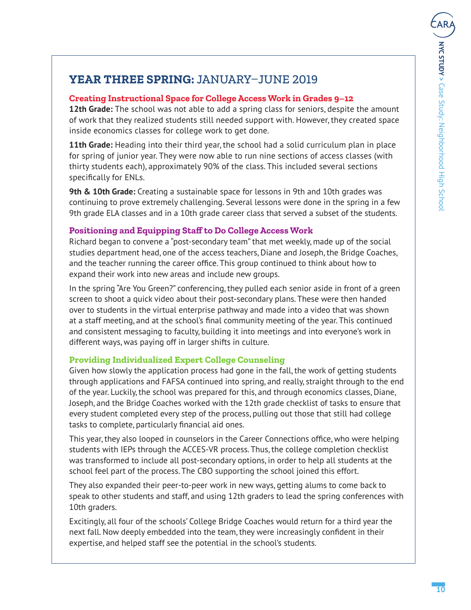# **YEAR THREE SPRING:** JANUARY-JUNE 2019

## **Creating Instructional Space for College Access Work in Grades 9–12**

**12th Grade:** The school was not able to add a spring class for seniors, despite the amount of work that they realized students still needed support with. However, they created space inside economics classes for college work to get done.

**11th Grade:** Heading into their third year, the school had a solid curriculum plan in place for spring of junior year. They were now able to run nine sections of access classes (with thirty students each), approximately 90% of the class. This included several sections specifically for ENLs.

**9th & 10th Grade:** Creating a sustainable space for lessons in 9th and 10th grades was continuing to prove extremely challenging. Several lessons were done in the spring in a few 9th grade ELA classes and in a 10th grade career class that served a subset of the students.

## Positioning and Equipping Staff to Do College Access Work

Richard began to convene a "post-secondary team" that met weekly, made up of the social studies department head, one of the access teachers, Diane and Joseph, the Bridge Coaches, and the teacher running the career office. This group continued to think about how to expand their work into new areas and include new groups.

In the spring "Are You Green?" conferencing, they pulled each senior aside in front of a green screen to shoot a quick video about their post-secondary plans. These were then handed over to students in the virtual enterprise pathway and made into a video that was shown at a staff meeting, and at the school's final community meeting of the year. This continued and consistent messaging to faculty, building it into meetings and into everyone's work in different ways, was paying off in larger shifts in culture.

## **Providing Individualized Expert College Counseling**

Given how slowly the application process had gone in the fall, the work of getting students through applications and FAFSA continued into spring, and really, straight through to the end of the year. Luckily, the school was prepared for this, and through economics classes, Diane, Joseph, and the Bridge Coaches worked with the 12th grade checklist of tasks to ensure that every student completed every step of the process, pulling out those that still had college tasks to complete, particularly financial aid ones.

This year, they also looped in counselors in the Career Connections office, who were helping students with IEPs through the ACCES-VR process. Thus, the college completion checklist was transformed to include all post-secondary options, in order to help all students at the school feel part of the process. The CBO supporting the school joined this effort.

They also expanded their peer-to-peer work in new ways, getting alums to come back to speak to other students and staff, and using 12th graders to lead the spring conferences with 10th graders.

Excitingly, all four of the schools' College Bridge Coaches would return for a third year the next fall. Now deeply embedded into the team, they were increasingly confident in their expertise, and helped staff see the potential in the school's students.